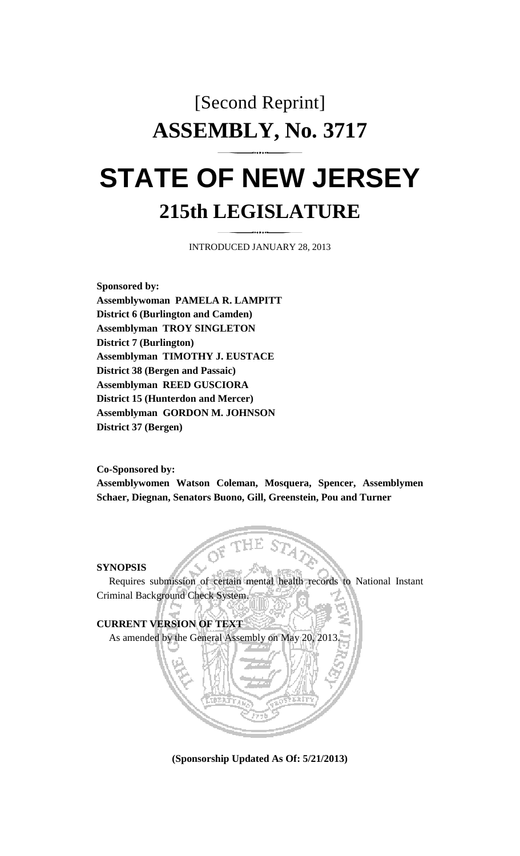# [Second Reprint] **ASSEMBLY, No. 3717**

## **STATE OF NEW JERSEY 215th LEGISLATURE**

INTRODUCED JANUARY 28, 2013

**Sponsored by: Assemblywoman PAMELA R. LAMPITT District 6 (Burlington and Camden) Assemblyman TROY SINGLETON District 7 (Burlington) Assemblyman TIMOTHY J. EUSTACE District 38 (Bergen and Passaic) Assemblyman REED GUSCIORA District 15 (Hunterdon and Mercer) Assemblyman GORDON M. JOHNSON District 37 (Bergen)** 

**Co-Sponsored by:** 

**Assemblywomen Watson Coleman, Mosquera, Spencer, Assemblymen Schaer, Diegnan, Senators Buono, Gill, Greenstein, Pou and Turner** 

#### **SYNOPSIS**

 Requires submission of certain mental health records to National Instant Criminal Background Check System.



**(Sponsorship Updated As Of: 5/21/2013)**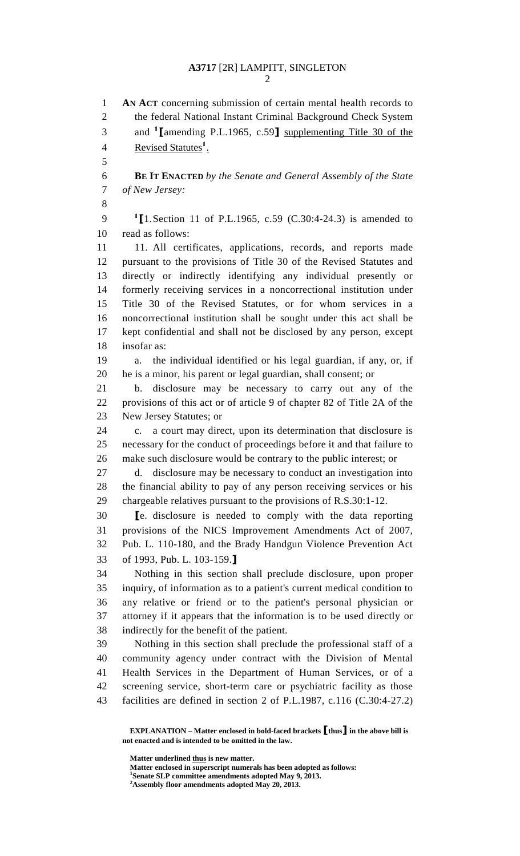## **A3717** [2R] LAMPITT, SINGLETON

2

1 **AN ACT** concerning submission of certain mental health records to 2 the federal National Instant Criminal Background Check System and <sup>1</sup> [amending P.L.1965, c.59] supplementing Title 30 of the 4 Revised Statutes<sup>1</sup>. 5 6 **BE IT ENACTED** *by the Senate and General Assembly of the State*  7 *of New Jersey:* 8 9  $\frac{1}{2}$  [1. Section 11 of P.L.1965, c.59 (C.30:4-24.3) is amended to 10 read as follows: 11 11. All certificates, applications, records, and reports made 12 pursuant to the provisions of Title 30 of the Revised Statutes and 13 directly or indirectly identifying any individual presently or 14 formerly receiving services in a noncorrectional institution under 15 Title 30 of the Revised Statutes, or for whom services in a 16 noncorrectional institution shall be sought under this act shall be 17 kept confidential and shall not be disclosed by any person, except 18 insofar as: 19 a. the individual identified or his legal guardian, if any, or, if 20 he is a minor, his parent or legal guardian, shall consent; or 21 b. disclosure may be necessary to carry out any of the 22 provisions of this act or of article 9 of chapter 82 of Title 2A of the 23 New Jersey Statutes; or 24 c. a court may direct, upon its determination that disclosure is 25 necessary for the conduct of proceedings before it and that failure to 26 make such disclosure would be contrary to the public interest; or 27 d. disclosure may be necessary to conduct an investigation into 28 the financial ability to pay of any person receiving services or his 29 chargeable relatives pursuant to the provisions of R.S.30:1-12. 30 [e. disclosure is needed to comply with the data reporting 31 provisions of the NICS Improvement Amendments Act of 2007, 32 Pub. L. 110-180, and the Brady Handgun Violence Prevention Act 33 of 1993, Pub. L. 103-159.] 34 Nothing in this section shall preclude disclosure, upon proper 35 inquiry, of information as to a patient's current medical condition to 36 any relative or friend or to the patient's personal physician or 37 attorney if it appears that the information is to be used directly or 38 indirectly for the benefit of the patient. 39 Nothing in this section shall preclude the professional staff of a 40 community agency under contract with the Division of Mental 41 Health Services in the Department of Human Services, or of a 42 screening service, short-term care or psychiatric facility as those 43 facilities are defined in section 2 of P.L.1987, c.116 (C.30:4-27.2)

**Matter underlined thus is new matter.** 

 **Matter enclosed in superscript numerals has been adopted as follows: 1 Senate SLP committee amendments adopted May 9, 2013.** 

**EXPLANATION – Matter enclosed in bold-faced brackets** [**thus**] **in the above bill is not enacted and is intended to be omitted in the law.** 

**<sup>2</sup> Assembly floor amendments adopted May 20, 2013.**